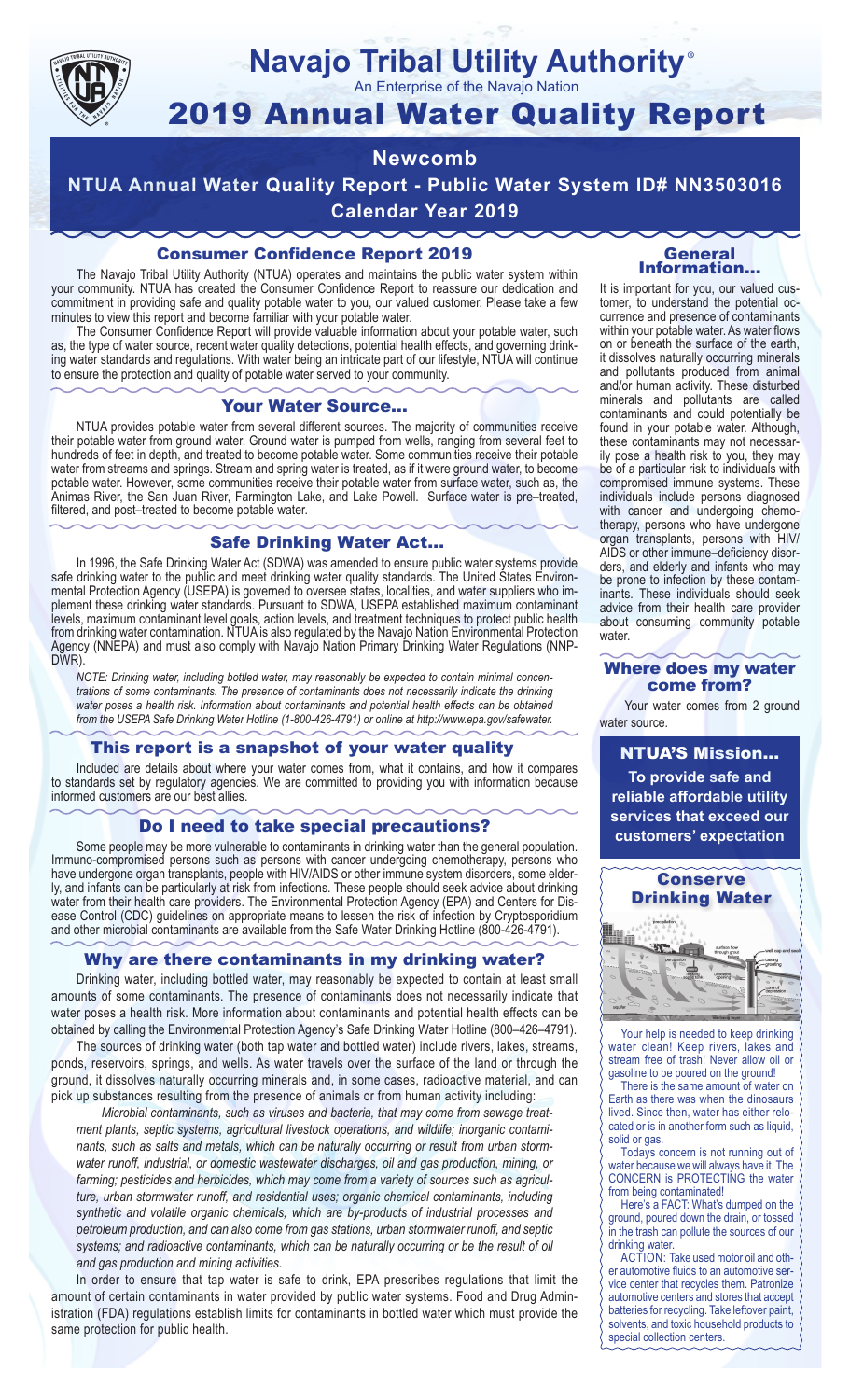

### **Navajo Tribal Utility Authority** ®

An Enterprise of the Navajo Nation

# 2019 Annual Water Quality Report

## **Newcomb**

**NTUA Annual Water Quality Report - Public Water System ID# NN3503016 Calendar Year 2019**

## Consumer Confidence Report 2019

The Navajo Tribal Utility Authority (NTUA) operates and maintains the public water system within your community. NTUA has created the Consumer Confidence Report to reassure our dedication and commitment in providing safe and quality potable water to you, our valued customer. Please take a few minutes to view this report and become familiar with your potable water.

The Consumer Confidence Report will provide valuable information about your potable water, such as, the type of water source, recent water quality detections, potential health effects, and governing drinking water standards and regulations. With water being an intricate part of our lifestyle, NTUA will continue to ensure the protection and quality of potable water served to your community.

#### Your Water Source…

NTUA provides potable water from several different sources. The majority of communities receive their potable water from ground water. Ground water is pumped from wells, ranging from several feet to hundreds of feet in depth, and treated to become potable water. Some communities receive their potable water from streams and springs. Stream and spring water is treated, as if it were ground water, to become potable water. However, some communities receive their potable water from surface water, such as, the Animas River, the San Juan River, Farmington Lake, and Lake Powell. Surface water is pre–treated, filtered, and post–treated to become potable water.

#### Safe Drinking Water Act…

In 1996, the Safe Drinking Water Act (SDWA) was amended to ensure public water systems provide safe drinking water to the public and meet drinking water quality standards. The United States Environmental Protection Agency (USEPA) is governed to oversee states, localities, and water suppliers who implement these drinking water standards. Pursuant to SDWA, USEPA established maximum contaminant levels, maximum contaminant level goals, action levels, and treatment techniques to protect public health from drinking water contamination. NTUA is also regulated by the Navajo Nation Environmental Protection Agency (NNEPA) and must also comply with Navajo Nation Primary Drinking Water Regulations (NNP-DWR)

*NOTE: Drinking water, including bottled water, may reasonably be expected to contain minimal concentrations of some contaminants. The presence of contaminants does not necessarily indicate the drinking water poses a health risk. Information about contaminants and potential health effects can be obtained from the USEPA Safe Drinking Water Hotline (1-800-426-4791) or online at http://www.epa.gov/safewater.*

#### This report is a snapshot of your water quality

Included are details about where your water comes from, what it contains, and how it compares to standards set by regulatory agencies. We are committed to providing you with information because informed customers are our best allies.

#### Do I need to take special precautions?

Some people may be more vulnerable to contaminants in drinking water than the general population. Immuno-compromised persons such as persons with cancer undergoing chemotherapy, persons who have undergone organ transplants, people with HIV/AIDS or other immune system disorders, some elderly, and infants can be particularly at risk from infections. These people should seek advice about drinking water from their health care providers. The Environmental Protection Agency (EPA) and Centers for Disease Control (CDC) guidelines on appropriate means to lessen the risk of infection by Cryptosporidium and other microbial contaminants are available from the Safe Water Drinking Hotline (800-426-4791).

#### Why are there contaminants in my drinking water?

Drinking water, including bottled water, may reasonably be expected to contain at least small amounts of some contaminants. The presence of contaminants does not necessarily indicate that water poses a health risk. More information about contaminants and potential health effects can be obtained by calling the Environmental Protection Agency's Safe Drinking Water Hotline (800–426–4791).

The sources of drinking water (both tap water and bottled water) include rivers, lakes, streams, ponds, reservoirs, springs, and wells. As water travels over the surface of the land or through the ground, it dissolves naturally occurring minerals and, in some cases, radioactive material, and can pick up substances resulting from the presence of animals or from human activity including:

*Microbial contaminants, such as viruses and bacteria, that may come from sewage treatment plants, septic systems, agricultural livestock operations, and wildlife; inorganic contaminants, such as salts and metals, which can be naturally occurring or result from urban stormwater runoff, industrial, or domestic wastewater discharges, oil and gas production, mining, or farming; pesticides and herbicides, which may come from a variety of sources such as agriculture, urban stormwater runoff, and residential uses; organic chemical contaminants, including synthetic and volatile organic chemicals, which are by-products of industrial processes and petroleum production, and can also come from gas stations, urban stormwater runoff, and septic systems; and radioactive contaminants, which can be naturally occurring or be the result of oil and gas production and mining activities.*

In order to ensure that tap water is safe to drink, EPA prescribes regulations that limit the amount of certain contaminants in water provided by public water systems. Food and Drug Administration (FDA) regulations establish limits for contaminants in bottled water which must provide the same protection for public health.

#### General Information…

It is important for you, our valued customer, to understand the potential occurrence and presence of contaminants within your potable water. As water flows on or beneath the surface of the earth, it dissolves naturally occurring minerals and pollutants produced from animal and/or human activity. These disturbed minerals and pollutants are called contaminants and could potentially be found in your potable water. Although, these contaminants may not necessarily pose a health risk to you, they may be of a particular risk to individuals with compromised immune systems. These individuals include persons diagnosed with cancer and undergoing chemo-<br>therapy, persons who have undergone organ transplants, persons with HIV/ AIDS or other immune–deficiency disor- ders, and elderly and infants who may be prone to infection by these contam- inants. These individuals should seek advice from their health care provider about consuming community potable water.

#### Where does my water come from?

Your water comes from 2 ground water source.

NTUA'S Mission... **To provide safe and reliable affordable utility services that exceed our customers' expectation**



Your help is needed to keep drinking water clean! Keep rivers, lakes and stream free of trash! Never allow oil or gasoline to be poured on the ground!

There is the same amount of water on Earth as there was when the dinosaurs lived. Since then, water has either relocated or is in another form such as liquid, solid or gas.

Todays concern is not running out of water because we will always have it. The CONCERN is PROTECTING the water from being contaminated!

Here's a FACT: What's dumped on the ground, poured down the drain, or tossed in the trash can pollute the sources of our drinking water.

ACTION: Take used motor oil and other automotive fluids to an automotive service center that recycles them. Patronize automotive centers and stores that accept batteries for recycling. Take leftover paint, solvents, and toxic household products to special collection centers.